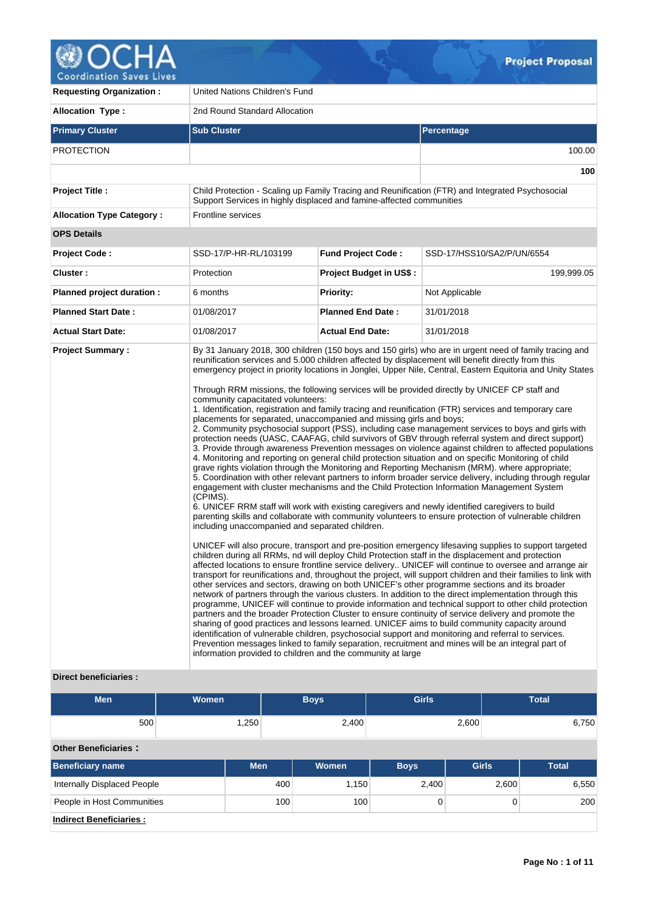

| <b>Requesting Organization:</b>  | United Nations Children's Fund                                                                                                                                                                                                         |                                |                                                                                                                                                                                                                                                                                                                                                                                                                                                                                                                                                                                                                                                                                                                                                                                                                                                                                                                                                                                                                                                                                                                                                                                                                                                                                                                                                                                                                                                                                                                                                                                                                                                                                                                                                                                                                                                                                                                                                                                                                                                                                                                                                                                                                                                                                                                                                                                                                                                                                                                                                                                                                                                                                            |  |  |  |  |  |  |
|----------------------------------|----------------------------------------------------------------------------------------------------------------------------------------------------------------------------------------------------------------------------------------|--------------------------------|--------------------------------------------------------------------------------------------------------------------------------------------------------------------------------------------------------------------------------------------------------------------------------------------------------------------------------------------------------------------------------------------------------------------------------------------------------------------------------------------------------------------------------------------------------------------------------------------------------------------------------------------------------------------------------------------------------------------------------------------------------------------------------------------------------------------------------------------------------------------------------------------------------------------------------------------------------------------------------------------------------------------------------------------------------------------------------------------------------------------------------------------------------------------------------------------------------------------------------------------------------------------------------------------------------------------------------------------------------------------------------------------------------------------------------------------------------------------------------------------------------------------------------------------------------------------------------------------------------------------------------------------------------------------------------------------------------------------------------------------------------------------------------------------------------------------------------------------------------------------------------------------------------------------------------------------------------------------------------------------------------------------------------------------------------------------------------------------------------------------------------------------------------------------------------------------------------------------------------------------------------------------------------------------------------------------------------------------------------------------------------------------------------------------------------------------------------------------------------------------------------------------------------------------------------------------------------------------------------------------------------------------------------------------------------------------|--|--|--|--|--|--|
| <b>Allocation Type:</b>          | 2nd Round Standard Allocation                                                                                                                                                                                                          |                                |                                                                                                                                                                                                                                                                                                                                                                                                                                                                                                                                                                                                                                                                                                                                                                                                                                                                                                                                                                                                                                                                                                                                                                                                                                                                                                                                                                                                                                                                                                                                                                                                                                                                                                                                                                                                                                                                                                                                                                                                                                                                                                                                                                                                                                                                                                                                                                                                                                                                                                                                                                                                                                                                                            |  |  |  |  |  |  |
| <b>Primary Cluster</b>           | <b>Sub Cluster</b>                                                                                                                                                                                                                     | Percentage                     |                                                                                                                                                                                                                                                                                                                                                                                                                                                                                                                                                                                                                                                                                                                                                                                                                                                                                                                                                                                                                                                                                                                                                                                                                                                                                                                                                                                                                                                                                                                                                                                                                                                                                                                                                                                                                                                                                                                                                                                                                                                                                                                                                                                                                                                                                                                                                                                                                                                                                                                                                                                                                                                                                            |  |  |  |  |  |  |
| <b>PROTECTION</b>                |                                                                                                                                                                                                                                        |                                | 100.00                                                                                                                                                                                                                                                                                                                                                                                                                                                                                                                                                                                                                                                                                                                                                                                                                                                                                                                                                                                                                                                                                                                                                                                                                                                                                                                                                                                                                                                                                                                                                                                                                                                                                                                                                                                                                                                                                                                                                                                                                                                                                                                                                                                                                                                                                                                                                                                                                                                                                                                                                                                                                                                                                     |  |  |  |  |  |  |
|                                  |                                                                                                                                                                                                                                        |                                | 100                                                                                                                                                                                                                                                                                                                                                                                                                                                                                                                                                                                                                                                                                                                                                                                                                                                                                                                                                                                                                                                                                                                                                                                                                                                                                                                                                                                                                                                                                                                                                                                                                                                                                                                                                                                                                                                                                                                                                                                                                                                                                                                                                                                                                                                                                                                                                                                                                                                                                                                                                                                                                                                                                        |  |  |  |  |  |  |
| Project Title :                  | Support Services in highly displaced and famine-affected communities                                                                                                                                                                   |                                | Child Protection - Scaling up Family Tracing and Reunification (FTR) and Integrated Psychosocial                                                                                                                                                                                                                                                                                                                                                                                                                                                                                                                                                                                                                                                                                                                                                                                                                                                                                                                                                                                                                                                                                                                                                                                                                                                                                                                                                                                                                                                                                                                                                                                                                                                                                                                                                                                                                                                                                                                                                                                                                                                                                                                                                                                                                                                                                                                                                                                                                                                                                                                                                                                           |  |  |  |  |  |  |
| <b>Allocation Type Category:</b> | <b>Frontline services</b>                                                                                                                                                                                                              |                                |                                                                                                                                                                                                                                                                                                                                                                                                                                                                                                                                                                                                                                                                                                                                                                                                                                                                                                                                                                                                                                                                                                                                                                                                                                                                                                                                                                                                                                                                                                                                                                                                                                                                                                                                                                                                                                                                                                                                                                                                                                                                                                                                                                                                                                                                                                                                                                                                                                                                                                                                                                                                                                                                                            |  |  |  |  |  |  |
| <b>OPS Details</b>               |                                                                                                                                                                                                                                        |                                |                                                                                                                                                                                                                                                                                                                                                                                                                                                                                                                                                                                                                                                                                                                                                                                                                                                                                                                                                                                                                                                                                                                                                                                                                                                                                                                                                                                                                                                                                                                                                                                                                                                                                                                                                                                                                                                                                                                                                                                                                                                                                                                                                                                                                                                                                                                                                                                                                                                                                                                                                                                                                                                                                            |  |  |  |  |  |  |
| <b>Project Code:</b>             | SSD-17/P-HR-RL/103199                                                                                                                                                                                                                  | <b>Fund Project Code:</b>      | SSD-17/HSS10/SA2/P/UN/6554                                                                                                                                                                                                                                                                                                                                                                                                                                                                                                                                                                                                                                                                                                                                                                                                                                                                                                                                                                                                                                                                                                                                                                                                                                                                                                                                                                                                                                                                                                                                                                                                                                                                                                                                                                                                                                                                                                                                                                                                                                                                                                                                                                                                                                                                                                                                                                                                                                                                                                                                                                                                                                                                 |  |  |  |  |  |  |
| Cluster:                         | Protection                                                                                                                                                                                                                             | <b>Project Budget in US\$:</b> | 199,999.05                                                                                                                                                                                                                                                                                                                                                                                                                                                                                                                                                                                                                                                                                                                                                                                                                                                                                                                                                                                                                                                                                                                                                                                                                                                                                                                                                                                                                                                                                                                                                                                                                                                                                                                                                                                                                                                                                                                                                                                                                                                                                                                                                                                                                                                                                                                                                                                                                                                                                                                                                                                                                                                                                 |  |  |  |  |  |  |
| Planned project duration :       | 6 months                                                                                                                                                                                                                               | <b>Priority:</b>               | Not Applicable                                                                                                                                                                                                                                                                                                                                                                                                                                                                                                                                                                                                                                                                                                                                                                                                                                                                                                                                                                                                                                                                                                                                                                                                                                                                                                                                                                                                                                                                                                                                                                                                                                                                                                                                                                                                                                                                                                                                                                                                                                                                                                                                                                                                                                                                                                                                                                                                                                                                                                                                                                                                                                                                             |  |  |  |  |  |  |
| <b>Planned Start Date:</b>       | 01/08/2017                                                                                                                                                                                                                             | <b>Planned End Date:</b>       | 31/01/2018                                                                                                                                                                                                                                                                                                                                                                                                                                                                                                                                                                                                                                                                                                                                                                                                                                                                                                                                                                                                                                                                                                                                                                                                                                                                                                                                                                                                                                                                                                                                                                                                                                                                                                                                                                                                                                                                                                                                                                                                                                                                                                                                                                                                                                                                                                                                                                                                                                                                                                                                                                                                                                                                                 |  |  |  |  |  |  |
| <b>Actual Start Date:</b>        | 01/08/2017                                                                                                                                                                                                                             | <b>Actual End Date:</b>        | 31/01/2018                                                                                                                                                                                                                                                                                                                                                                                                                                                                                                                                                                                                                                                                                                                                                                                                                                                                                                                                                                                                                                                                                                                                                                                                                                                                                                                                                                                                                                                                                                                                                                                                                                                                                                                                                                                                                                                                                                                                                                                                                                                                                                                                                                                                                                                                                                                                                                                                                                                                                                                                                                                                                                                                                 |  |  |  |  |  |  |
| <b>Project Summary:</b>          | community capacitated volunteers:<br>placements for separated, unaccompanied and missing girls and boys;<br>(CPIMS).<br>including unaccompanied and separated children.<br>information provided to children and the community at large |                                | By 31 January 2018, 300 children (150 boys and 150 girls) who are in urgent need of family tracing and<br>reunification services and 5.000 children affected by displacement will benefit directly from this<br>emergency project in priority locations in Jonglei, Upper Nile, Central, Eastern Equitoria and Unity States<br>Through RRM missions, the following services will be provided directly by UNICEF CP staff and<br>1. Identification, registration and family tracing and reunification (FTR) services and temporary care<br>2. Community psychosocial support (PSS), including case management services to boys and girls with<br>protection needs (UASC, CAAFAG, child survivors of GBV through referral system and direct support)<br>3. Provide through awareness Prevention messages on violence against children to affected populations<br>4. Monitoring and reporting on general child protection situation and on specific Monitoring of child<br>grave rights violation through the Monitoring and Reporting Mechanism (MRM). where appropriate;<br>5. Coordination with other relevant partners to inform broader service delivery, including through regular<br>engagement with cluster mechanisms and the Child Protection Information Management System<br>6. UNICEF RRM staff will work with existing caregivers and newly identified caregivers to build<br>parenting skills and collaborate with community volunteers to ensure protection of vulnerable children<br>UNICEF will also procure, transport and pre-position emergency lifesaving supplies to support targeted<br>children during all RRMs, nd will deploy Child Protection staff in the displacement and protection<br>affected locations to ensure frontline service delivery UNICEF will continue to oversee and arrange air<br>transport for reunifications and, throughout the project, will support children and their families to link with<br>other services and sectors, drawing on both UNICEF's other programme sections and its broader<br>network of partners through the various clusters. In addition to the direct implementation through this<br>programme, UNICEF will continue to provide information and technical support to other child protection<br>partners and the broader Protection Cluster to ensure continuity of service delivery and promote the<br>sharing of good practices and lessons learned. UNICEF aims to build community capacity around<br>identification of vulnerable children, psychosocial support and monitoring and referral to services.<br>Prevention messages linked to family separation, recruitment and mines will be an integral part of |  |  |  |  |  |  |

# **Direct beneficiaries :**

| <b>Men</b>                     | <b>Women</b> |            |     | <b>Boys</b> | <b>Girls</b> |              | <b>Total</b> |
|--------------------------------|--------------|------------|-----|-------------|--------------|--------------|--------------|
| 500                            |              | 1,250      |     | 2,400       |              | 2,600        | 6,750        |
| <b>Other Beneficiaries:</b>    |              |            |     |             |              |              |              |
| <b>Beneficiary name</b>        |              | <b>Men</b> |     | Women       | <b>Boys</b>  | <b>Girls</b> | <b>Total</b> |
| Internally Displaced People    |              |            | 400 | 1,150       | 2,400        | 2,600        | 6,550        |
| People in Host Communities     |              |            | 100 | 100         | 0            | $\Omega$     | 200          |
| <b>Indirect Beneficiaries:</b> |              |            |     |             |              |              |              |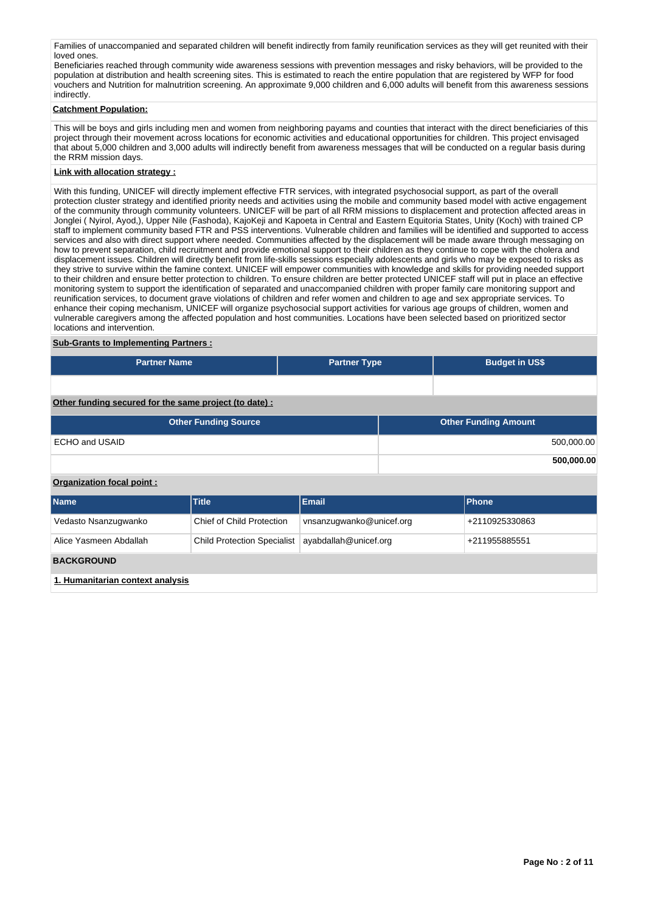Families of unaccompanied and separated children will benefit indirectly from family reunification services as they will get reunited with their loved ones.

Beneficiaries reached through community wide awareness sessions with prevention messages and risky behaviors, will be provided to the population at distribution and health screening sites. This is estimated to reach the entire population that are registered by WFP for food vouchers and Nutrition for malnutrition screening. An approximate 9,000 children and 6,000 adults will benefit from this awareness sessions indirectly.

#### **Catchment Population:**

This will be boys and girls including men and women from neighboring payams and counties that interact with the direct beneficiaries of this project through their movement across locations for economic activities and educational opportunities for children. This project envisaged that about 5,000 children and 3,000 adults will indirectly benefit from awareness messages that will be conducted on a regular basis during the RRM mission days.

### **Link with allocation strategy :**

With this funding, UNICEF will directly implement effective FTR services, with integrated psychosocial support, as part of the overall protection cluster strategy and identified priority needs and activities using the mobile and community based model with active engagement of the community through community volunteers. UNICEF will be part of all RRM missions to displacement and protection affected areas in Jonglei ( Nyirol, Ayod,), Upper Nile (Fashoda), KajoKeji and Kapoeta in Central and Eastern Equitoria States, Unity (Koch) with trained CP staff to implement community based FTR and PSS interventions. Vulnerable children and families will be identified and supported to access services and also with direct support where needed. Communities affected by the displacement will be made aware through messaging on how to prevent separation, child recruitment and provide emotional support to their children as they continue to cope with the cholera and displacement issues. Children will directly benefit from life-skills sessions especially adolescents and girls who may be exposed to risks as they strive to survive within the famine context. UNICEF will empower communities with knowledge and skills for providing needed support to their children and ensure better protection to children. To ensure children are better protected UNICEF staff will put in place an effective monitoring system to support the identification of separated and unaccompanied children with proper family care monitoring support and reunification services, to document grave violations of children and refer women and children to age and sex appropriate services. To enhance their coping mechanism, UNICEF will organize psychosocial support activities for various age groups of children, women and vulnerable caregivers among the affected population and host communities. Locations have been selected based on prioritized sector locations and intervention.

#### **Sub-Grants to Implementing Partners :**

| <b>Partner Name</b> | <b>Partner Type</b> | <b>Budget in US\$</b> |
|---------------------|---------------------|-----------------------|
|                     |                     |                       |

## **Other funding secured for the same project (to date) :**

| <b>Other Funding Source</b> | <b>Other Funding Amount</b> |
|-----------------------------|-----------------------------|
| ECHO and USAID              | 500,000.00                  |
|                             | 500,000.00                  |

## **Organization focal point :**

| <b>Name</b>                      | <b>Title</b>                       | <b>Email</b>             | Phone          |
|----------------------------------|------------------------------------|--------------------------|----------------|
| Vedasto Nsanzugwanko             | Chief of Child Protection          | vnsanzugwanko@unicef.org | +2110925330863 |
| Alice Yasmeen Abdallah           | <b>Child Protection Specialist</b> | ayabdallah@unicef.org    | +211955885551  |
| <b>BACKGROUND</b>                |                                    |                          |                |
| 1. Humanitarian context analysis |                                    |                          |                |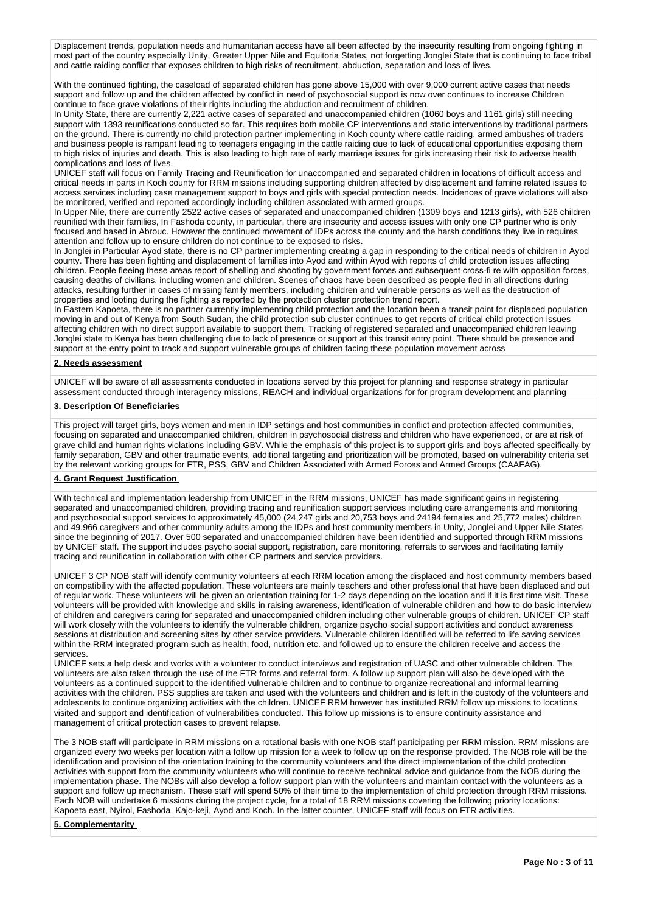Displacement trends, population needs and humanitarian access have all been affected by the insecurity resulting from ongoing fighting in most part of the country especially Unity, Greater Upper Nile and Equitoria States, not forgetting Jonglei State that is continuing to face tribal and cattle raiding conflict that exposes children to high risks of recruitment, abduction, separation and loss of lives.

With the continued fighting, the caseload of separated children has gone above 15,000 with over 9,000 current active cases that needs support and follow up and the children affected by conflict in need of psychosocial support is now over continues to increase Children continue to face grave violations of their rights including the abduction and recruitment of children.

In Unity State, there are currently 2,221 active cases of separated and unaccompanied children (1060 boys and 1161 girls) still needing support with 1393 reunifications conducted so far. This requires both mobile CP interventions and static interventions by traditional partners on the ground. There is currently no child protection partner implementing in Koch county where cattle raiding, armed ambushes of traders and business people is rampant leading to teenagers engaging in the cattle raiding due to lack of educational opportunities exposing them to high risks of injuries and death. This is also leading to high rate of early marriage issues for girls increasing their risk to adverse health complications and loss of lives.

UNICEF staff will focus on Family Tracing and Reunification for unaccompanied and separated children in locations of difficult access and critical needs in parts in Koch county for RRM missions including supporting children affected by displacement and famine related issues to access services including case management support to boys and girls with special protection needs. Incidences of grave violations will also be monitored, verified and reported accordingly including children associated with armed groups.

In Upper Nile, there are currently 2522 active cases of separated and unaccompanied children (1309 boys and 1213 girls), with 526 children reunified with their families, In Fashoda county, in particular, there are insecurity and access issues with only one CP partner who is only focused and based in Abrouc. However the continued movement of IDPs across the county and the harsh conditions they live in requires attention and follow up to ensure children do not continue to be exposed to risks.

In Jonglei in Particular Ayod state, there is no CP partner implementing creating a gap in responding to the critical needs of children in Ayod county. There has been fighting and displacement of families into Ayod and within Ayod with reports of child protection issues affecting children. People fleeing these areas report of shelling and shooting by government forces and subsequent cross-fi re with opposition forces, causing deaths of civilians, including women and children. Scenes of chaos have been described as people fled in all directions during attacks, resulting further in cases of missing family members, including children and vulnerable persons as well as the destruction of properties and looting during the fighting as reported by the protection cluster protection trend report.

In Eastern Kapoeta, there is no partner currently implementing child protection and the location been a transit point for displaced population moving in and out of Kenya from South Sudan, the child protection sub cluster continues to get reports of critical child protection issues affecting children with no direct support available to support them. Tracking of registered separated and unaccompanied children leaving Jonglei state to Kenya has been challenging due to lack of presence or support at this transit entry point. There should be presence and support at the entry point to track and support vulnerable groups of children facing these population movement across

## **2. Needs assessment**

UNICEF will be aware of all assessments conducted in locations served by this project for planning and response strategy in particular assessment conducted through interagency missions, REACH and individual organizations for for program development and planning

## **3. Description Of Beneficiaries**

This project will target girls, boys women and men in IDP settings and host communities in conflict and protection affected communities, focusing on separated and unaccompanied children, children in psychosocial distress and children who have experienced, or are at risk of grave child and human rights violations including GBV. While the emphasis of this project is to support girls and boys affected specifically by family separation, GBV and other traumatic events, additional targeting and prioritization will be promoted, based on vulnerability criteria set by the relevant working groups for FTR, PSS, GBV and Children Associated with Armed Forces and Armed Groups (CAAFAG).

## **4. Grant Request Justification**

With technical and implementation leadership from UNICEF in the RRM missions, UNICEF has made significant gains in registering separated and unaccompanied children, providing tracing and reunification support services including care arrangements and monitoring and psychosocial support services to approximately 45,000 (24,247 girls and 20,753 boys and 24194 females and 25,772 males) children and 49,966 caregivers and other community adults among the IDPs and host community members in Unity, Jonglei and Upper Nile States since the beginning of 2017. Over 500 separated and unaccompanied children have been identified and supported through RRM missions by UNICEF staff. The support includes psycho social support, registration, care monitoring, referrals to services and facilitating family tracing and reunification in collaboration with other CP partners and service providers.

UNICEF 3 CP NOB staff will identify community volunteers at each RRM location among the displaced and host community members based on compatibility with the affected population. These volunteers are mainly teachers and other professional that have been displaced and out of regular work. These volunteers will be given an orientation training for 1-2 days depending on the location and if it is first time visit. These volunteers will be provided with knowledge and skills in raising awareness, identification of vulnerable children and how to do basic interview of children and caregivers caring for separated and unaccompanied children including other vulnerable groups of children. UNICEF CP staff will work closely with the volunteers to identify the vulnerable children, organize psycho social support activities and conduct awareness sessions at distribution and screening sites by other service providers. Vulnerable children identified will be referred to life saving services within the RRM integrated program such as health, food, nutrition etc. and followed up to ensure the children receive and access the services.

UNICEF sets a help desk and works with a volunteer to conduct interviews and registration of UASC and other vulnerable children. The volunteers are also taken through the use of the FTR forms and referral form. A follow up support plan will also be developed with the volunteers as a continued support to the identified vulnerable children and to continue to organize recreational and informal learning activities with the children. PSS supplies are taken and used with the volunteers and children and is left in the custody of the volunteers and adolescents to continue organizing activities with the children. UNICEF RRM however has instituted RRM follow up missions to locations visited and support and identification of vulnerabilities conducted. This follow up missions is to ensure continuity assistance and management of critical protection cases to prevent relapse.

The 3 NOB staff will participate in RRM missions on a rotational basis with one NOB staff participating per RRM mission. RRM missions are organized every two weeks per location with a follow up mission for a week to follow up on the response provided. The NOB role will be the identification and provision of the orientation training to the community volunteers and the direct implementation of the child protection activities with support from the community volunteers who will continue to receive technical advice and guidance from the NOB during the implementation phase. The NOBs will also develop a follow support plan with the volunteers and maintain contact with the volunteers as a support and follow up mechanism. These staff will spend 50% of their time to the implementation of child protection through RRM missions. Each NOB will undertake 6 missions during the project cycle, for a total of 18 RRM missions covering the following priority locations: Kapoeta east, Nyirol, Fashoda, Kajo-keji, Ayod and Koch. In the latter counter, UNICEF staff will focus on FTR activities.

### **5. Complementarity**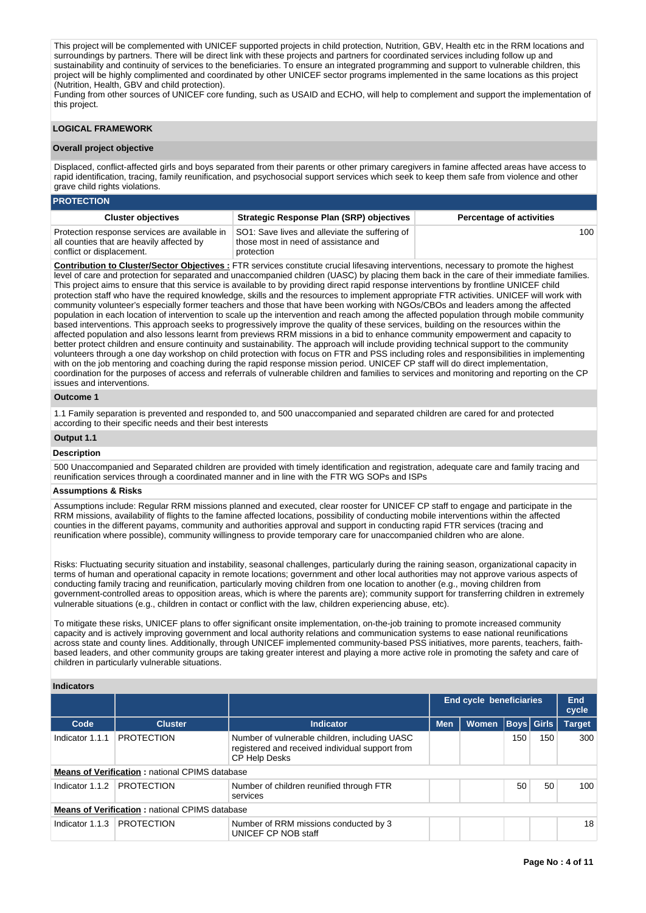This project will be complemented with UNICEF supported projects in child protection, Nutrition, GBV, Health etc in the RRM locations and surroundings by partners. There will be direct link with these projects and partners for coordinated services including follow up and sustainability and continuity of services to the beneficiaries. To ensure an integrated programming and support to vulnerable children, this project will be highly complimented and coordinated by other UNICEF sector programs implemented in the same locations as this project (Nutrition, Health, GBV and child protection).

Funding from other sources of UNICEF core funding, such as USAID and ECHO, will help to complement and support the implementation of this project.

## **LOGICAL FRAMEWORK**

#### **Overall project objective**

Displaced, conflict-affected girls and boys separated from their parents or other primary caregivers in famine affected areas have access to rapid identification, tracing, family reunification, and psychosocial support services which seek to keep them safe from violence and other grave child rights violations.

### **PROTECTION**

| <b>Cluster objectives</b>                                                                                               | <b>Strategic Response Plan (SRP) objectives</b>                                                      | <b>Percentage of activities</b> |
|-------------------------------------------------------------------------------------------------------------------------|------------------------------------------------------------------------------------------------------|---------------------------------|
| Protection response services are available in<br>all counties that are heavily affected by<br>conflict or displacement. | SO1: Save lives and alleviate the suffering of<br>those most in need of assistance and<br>protection | 100                             |

**Contribution to Cluster/Sector Objectives :** FTR services constitute crucial lifesaving interventions, necessary to promote the highest level of care and protection for separated and unaccompanied children (UASC) by placing them back in the care of their immediate families. This project aims to ensure that this service is available to by providing direct rapid response interventions by frontline UNICEF child protection staff who have the required knowledge, skills and the resources to implement appropriate FTR activities. UNICEF will work with community volunteer's especially former teachers and those that have been working with NGOs/CBOs and leaders among the affected population in each location of intervention to scale up the intervention and reach among the affected population through mobile community based interventions. This approach seeks to progressively improve the quality of these services, building on the resources within the affected population and also lessons learnt from previews RRM missions in a bid to enhance community empowerment and capacity to better protect children and ensure continuity and sustainability. The approach will include providing technical support to the community volunteers through a one day workshop on child protection with focus on FTR and PSS including roles and responsibilities in implementing with on the job mentoring and coaching during the rapid response mission period. UNICEF CP staff will do direct implementation, coordination for the purposes of access and referrals of vulnerable children and families to services and monitoring and reporting on the CP issues and interventions.

## **Outcome 1**

1.1 Family separation is prevented and responded to, and 500 unaccompanied and separated children are cared for and protected according to their specific needs and their best interests

## **Output 1.1**

#### **Description**

500 Unaccompanied and Separated children are provided with timely identification and registration, adequate care and family tracing and reunification services through a coordinated manner and in line with the FTR WG SOPs and ISPs

#### **Assumptions & Risks**

Assumptions include: Regular RRM missions planned and executed, clear rooster for UNICEF CP staff to engage and participate in the RRM missions, availability of flights to the famine affected locations, possibility of conducting mobile interventions within the affected counties in the different payams, community and authorities approval and support in conducting rapid FTR services (tracing and reunification where possible), community willingness to provide temporary care for unaccompanied children who are alone.

Risks: Fluctuating security situation and instability, seasonal challenges, particularly during the raining season, organizational capacity in terms of human and operational capacity in remote locations; government and other local authorities may not approve various aspects of conducting family tracing and reunification, particularly moving children from one location to another (e.g., moving children from government-controlled areas to opposition areas, which is where the parents are); community support for transferring children in extremely vulnerable situations (e.g., children in contact or conflict with the law, children experiencing abuse, etc).

To mitigate these risks, UNICEF plans to offer significant onsite implementation, on-the-job training to promote increased community capacity and is actively improving government and local authority relations and communication systems to ease national reunifications across state and county lines. Additionally, through UNICEF implemented community-based PSS initiatives, more parents, teachers, faithbased leaders, and other community groups are taking greater interest and playing a more active role in promoting the safety and care of children in particularly vulnerable situations.

## **Indicators**

|                                                       |                                                       |                                                                                                                          | <b>End cycle beneficiaries</b> |              |     |                   | End<br>cycle  |
|-------------------------------------------------------|-------------------------------------------------------|--------------------------------------------------------------------------------------------------------------------------|--------------------------------|--------------|-----|-------------------|---------------|
| Code                                                  | <b>Cluster</b>                                        | Indicator                                                                                                                | <b>Men</b>                     | <b>Women</b> |     | <b>Boys Girls</b> | <b>Target</b> |
| Indicator 1.1.1                                       | <b>PROTECTION</b>                                     | Number of vulnerable children, including UASC<br>registered and received individual support from<br><b>CP Help Desks</b> |                                |              | 150 | 150               | 300           |
|                                                       | <b>Means of Verification: national CPIMS database</b> |                                                                                                                          |                                |              |     |                   |               |
| Indicator 1.1.2                                       | <b>PROTECTION</b>                                     | Number of children reunified through FTR<br>services                                                                     |                                |              | 50  | 50                | 100           |
| <b>Means of Verification: national CPIMS database</b> |                                                       |                                                                                                                          |                                |              |     |                   |               |
| Indicator 1.1.3                                       | <b>PROTECTION</b>                                     | Number of RRM missions conducted by 3<br>UNICEF CP NOB staff                                                             |                                |              |     |                   | 18            |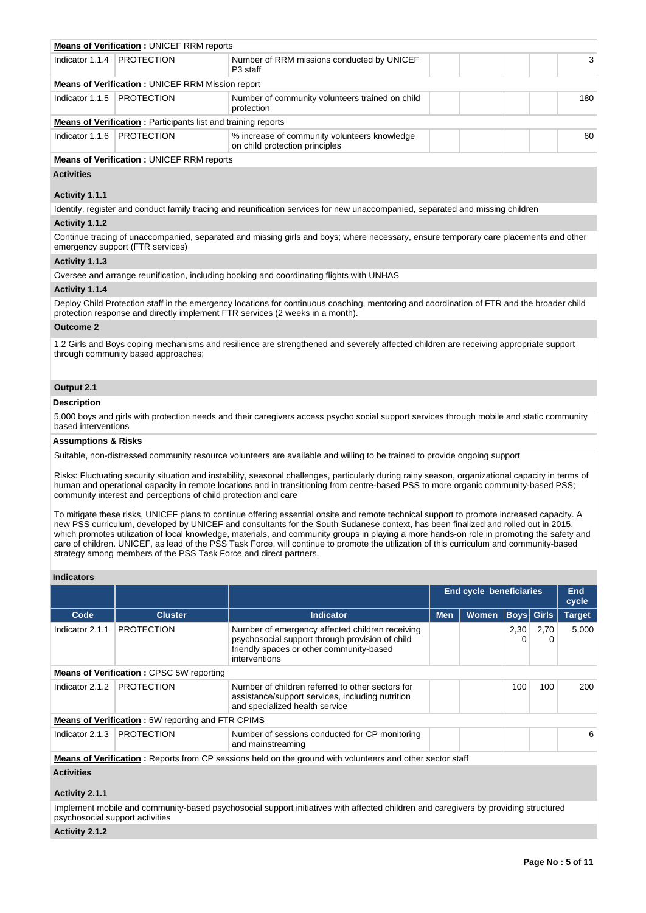|                                | <b>Means of Verification: UNICEF RRM reports</b>                     |                                                                                                                                                                                                                            |     |
|--------------------------------|----------------------------------------------------------------------|----------------------------------------------------------------------------------------------------------------------------------------------------------------------------------------------------------------------------|-----|
| Indicator 1.1.4                | <b>PROTECTION</b>                                                    | Number of RRM missions conducted by UNICEF<br>P <sub>3</sub> staff                                                                                                                                                         | 3   |
|                                | <b>Means of Verification: UNICEF RRM Mission report</b>              |                                                                                                                                                                                                                            |     |
| Indicator 1.1.5                | <b>PROTECTION</b>                                                    | Number of community volunteers trained on child<br>protection                                                                                                                                                              | 180 |
|                                | <b>Means of Verification: Participants list and training reports</b> |                                                                                                                                                                                                                            |     |
| Indicator 1.1.6                | <b>PROTECTION</b>                                                    | % increase of community volunteers knowledge<br>on child protection principles                                                                                                                                             | 60  |
|                                | <b>Means of Verification: UNICEF RRM reports</b>                     |                                                                                                                                                                                                                            |     |
| <b>Activities</b>              |                                                                      |                                                                                                                                                                                                                            |     |
| Activity 1.1.1                 |                                                                      |                                                                                                                                                                                                                            |     |
|                                |                                                                      | Identify, register and conduct family tracing and reunification services for new unaccompanied, separated and missing children                                                                                             |     |
| Activity 1.1.2                 |                                                                      |                                                                                                                                                                                                                            |     |
|                                | emergency support (FTR services)                                     | Continue tracing of unaccompanied, separated and missing girls and boys; where necessary, ensure temporary care placements and other                                                                                       |     |
| Activity 1.1.3                 |                                                                      |                                                                                                                                                                                                                            |     |
|                                |                                                                      | Oversee and arrange reunification, including booking and coordinating flights with UNHAS                                                                                                                                   |     |
| Activity 1.1.4                 |                                                                      |                                                                                                                                                                                                                            |     |
|                                |                                                                      | Deploy Child Protection staff in the emergency locations for continuous coaching, mentoring and coordination of FTR and the broader child<br>protection response and directly implement FTR services (2 weeks in a month). |     |
| <b>Outcome 2</b>               |                                                                      |                                                                                                                                                                                                                            |     |
|                                | through community based approaches;                                  | 1.2 Girls and Boys coping mechanisms and resilience are strengthened and severely affected children are receiving appropriate support                                                                                      |     |
| Output 2.1                     |                                                                      |                                                                                                                                                                                                                            |     |
| <b>Description</b>             |                                                                      |                                                                                                                                                                                                                            |     |
| based interventions            |                                                                      | 5,000 boys and girls with protection needs and their caregivers access psycho social support services through mobile and static community                                                                                  |     |
| <b>Assumptions &amp; Risks</b> |                                                                      |                                                                                                                                                                                                                            |     |
|                                |                                                                      | Suitable, non-distressed community resource volunteers are available and willing to be trained to provide ongoing support                                                                                                  |     |

Risks: Fluctuating security situation and instability, seasonal challenges, particularly during rainy season, organizational capacity in terms of human and operational capacity in remote locations and in transitioning from centre-based PSS to more organic community-based PSS; community interest and perceptions of child protection and care

To mitigate these risks, UNICEF plans to continue offering essential onsite and remote technical support to promote increased capacity. A new PSS curriculum, developed by UNICEF and consultants for the South Sudanese context, has been finalized and rolled out in 2015, which promotes utilization of local knowledge, materials, and community groups in playing a more hands-on role in promoting the safety and care of children. UNICEF, as lead of the PSS Task Force, will continue to promote the utilization of this curriculum and community-based strategy among members of the PSS Task Force and direct partners.

## **Indicators**

|                 |                                                          |                                                                                                                                                                 | <b>End cycle beneficiaries</b> | <b>End</b><br>cycle |                   |           |               |
|-----------------|----------------------------------------------------------|-----------------------------------------------------------------------------------------------------------------------------------------------------------------|--------------------------------|---------------------|-------------------|-----------|---------------|
| Code            | <b>Cluster</b>                                           | <b>Indicator</b>                                                                                                                                                | <b>Men</b>                     | Women               | <b>Boys Girls</b> |           | <b>Target</b> |
| Indicator 2.1.1 | <b>PROTECTION</b>                                        | Number of emergency affected children receiving<br>psychosocial support through provision of child<br>friendly spaces or other community-based<br>interventions |                                |                     | 2,30<br>0         | 2,70<br>0 | 5,000         |
|                 | <b>Means of Verification: CPSC 5W reporting</b>          |                                                                                                                                                                 |                                |                     |                   |           |               |
| Indicator 2.1.2 | <b>PROTECTION</b>                                        | Number of children referred to other sectors for<br>assistance/support services, including nutrition<br>and specialized health service                          |                                |                     | 100               | 100       | 200           |
|                 | <b>Means of Verification:</b> 5W reporting and FTR CPIMS |                                                                                                                                                                 |                                |                     |                   |           |               |
| Indicator 2.1.3 | <b>PROTECTION</b>                                        | Number of sessions conducted for CP monitoring<br>and mainstreaming                                                                                             |                                |                     |                   |           | 6             |
|                 |                                                          | <b>Means of Verification</b> : Reports from CP sessions held on the ground with volunteers and other sector staff                                               |                                |                     |                   |           |               |
| $A = 41, 714$   |                                                          |                                                                                                                                                                 |                                |                     |                   |           |               |

# **Activities**

## **Activity 2.1.1**

Implement mobile and community-based psychosocial support initiatives with affected children and caregivers by providing structured psychosocial support activities

#### **Activity 2.1.2**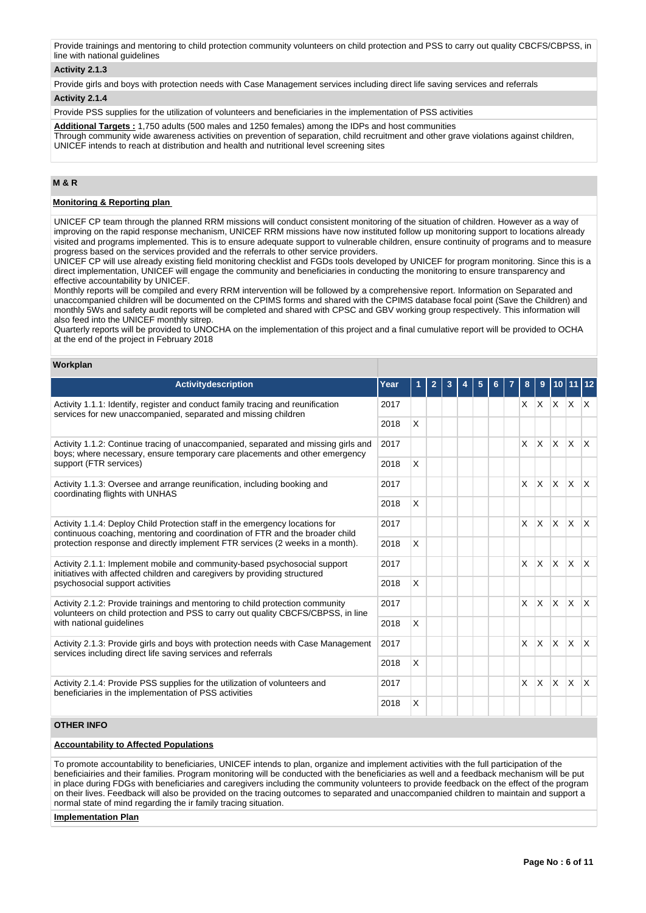Provide trainings and mentoring to child protection community volunteers on child protection and PSS to carry out quality CBCFS/CBPSS, in line with national guidelines

## **Activity 2.1.3**

Provide girls and boys with protection needs with Case Management services including direct life saving services and referrals

#### **Activity 2.1.4**

Provide PSS supplies for the utilization of volunteers and beneficiaries in the implementation of PSS activities

**Additional Targets :** 1,750 adults (500 males and 1250 females) among the IDPs and host communities Through community wide awareness activities on prevention of separation, child recruitment and other grave violations against children, UNICEF intends to reach at distribution and health and nutritional level screening sites

## **M & R**

#### **Monitoring & Reporting plan**

UNICEF CP team through the planned RRM missions will conduct consistent monitoring of the situation of children. However as a way of improving on the rapid response mechanism, UNICEF RRM missions have now instituted follow up monitoring support to locations already visited and programs implemented. This is to ensure adequate support to vulnerable children, ensure continuity of programs and to measure progress based on the services provided and the referrals to other service providers.

UNICEF CP will use already existing field monitoring checklist and FGDs tools developed by UNICEF for program monitoring. Since this is a direct implementation, UNICEF will engage the community and beneficiaries in conducting the monitoring to ensure transparency and effective accountability by UNICEF.

Monthly reports will be compiled and every RRM intervention will be followed by a comprehensive report. Information on Separated and unaccompanied children will be documented on the CPIMS forms and shared with the CPIMS database focal point (Save the Children) and monthly 5Ws and safety audit reports will be completed and shared with CPSC and GBV working group respectively. This information will also feed into the UNICEF monthly sitrep.

Quarterly reports will be provided to UNOCHA on the implementation of this project and a final cumulative report will be provided to OCHA at the end of the project in February 2018

#### **Workplan**

| <b>Activitydescription</b>                                                                                                                                                                                                                    | Year |   | $\mathbf{2}$ | 3 | 5 | 6 | 8              | 9                               |                           |                          |              |
|-----------------------------------------------------------------------------------------------------------------------------------------------------------------------------------------------------------------------------------------------|------|---|--------------|---|---|---|----------------|---------------------------------|---------------------------|--------------------------|--------------|
| Activity 1.1.1: Identify, register and conduct family tracing and reunification<br>services for new unaccompanied, separated and missing children                                                                                             |      |   |              |   |   |   |                | $X$ $X$ $X$ $X$                 |                           |                          |              |
|                                                                                                                                                                                                                                               | 2018 | X |              |   |   |   |                |                                 |                           |                          |              |
| Activity 1.1.2: Continue tracing of unaccompanied, separated and missing girls and<br>boys; where necessary, ensure temporary care placements and other emergency                                                                             | 2017 |   |              |   |   |   | $\mathsf{X}^-$ |                                 |                           | $x \mid x \mid x \mid x$ |              |
| support (FTR services)                                                                                                                                                                                                                        | 2018 | X |              |   |   |   |                |                                 |                           |                          |              |
| Activity 1.1.3: Oversee and arrange reunification, including booking and<br>coordinating flights with UNHAS                                                                                                                                   | 2017 |   |              |   |   |   | $\mathsf{X}$   | $\mathsf{X}$                    | $x \mid x$                |                          | $\mathsf{X}$ |
|                                                                                                                                                                                                                                               | 2018 | X |              |   |   |   |                |                                 |                           |                          |              |
| Activity 1.1.4: Deploy Child Protection staff in the emergency locations for<br>continuous coaching, mentoring and coordination of FTR and the broader child<br>protection response and directly implement FTR services (2 weeks in a month). | 2017 |   |              |   |   |   | $\mathsf{X}$   | $\mathsf{X}$                    | $x \mid x$                |                          | $\mathsf{X}$ |
|                                                                                                                                                                                                                                               | 2018 | X |              |   |   |   |                |                                 |                           |                          |              |
| Activity 2.1.1: Implement mobile and community-based psychosocial support<br>initiatives with affected children and caregivers by providing structured                                                                                        | 2017 |   |              |   |   |   | $\mathsf{X}$   | ΙX.                             | $x \mid x$                |                          | $\mathsf{X}$ |
| psychosocial support activities                                                                                                                                                                                                               | 2018 | X |              |   |   |   |                |                                 |                           |                          |              |
| Activity 2.1.2: Provide trainings and mentoring to child protection community<br>volunteers on child protection and PSS to carry out quality CBCFS/CBPSS, in line                                                                             | 2017 |   |              |   |   |   | $\mathsf{X}$   | $\mathsf{x}$                    | $\mathsf{X}$ $\mathsf{X}$ |                          | $\mathsf{X}$ |
| with national guidelines                                                                                                                                                                                                                      | 2018 | X |              |   |   |   |                |                                 |                           |                          |              |
| Activity 2.1.3: Provide girls and boys with protection needs with Case Management<br>services including direct life saving services and referrals                                                                                             | 2017 |   |              |   |   |   | $\times$       | <b>X</b>                        |                           | $x \times x$             |              |
|                                                                                                                                                                                                                                               | 2018 | X |              |   |   |   |                |                                 |                           |                          |              |
| Activity 2.1.4: Provide PSS supplies for the utilization of volunteers and<br>beneficiaries in the implementation of PSS activities                                                                                                           | 2017 |   |              |   |   |   |                | $x \mid x \mid x \mid x \mid x$ |                           |                          |              |
|                                                                                                                                                                                                                                               | 2018 | X |              |   |   |   |                |                                 |                           |                          |              |

## **OTHER INFO**

## **Accountability to Affected Populations**

To promote accountability to beneficiaries, UNICEF intends to plan, organize and implement activities with the full participation of the beneficiairies and their families. Program monitoring will be conducted with the beneficiaries as well and a feedback mechanism will be put in place during FDGs with beneficiaries and caregivers including the community volunteers to provide feedback on the effect of the program on their lives. Feedback will also be provided on the tracing outcomes to separated and unaccompanied children to maintain and support a normal state of mind regarding the ir family tracing situation.

#### **Implementation Plan**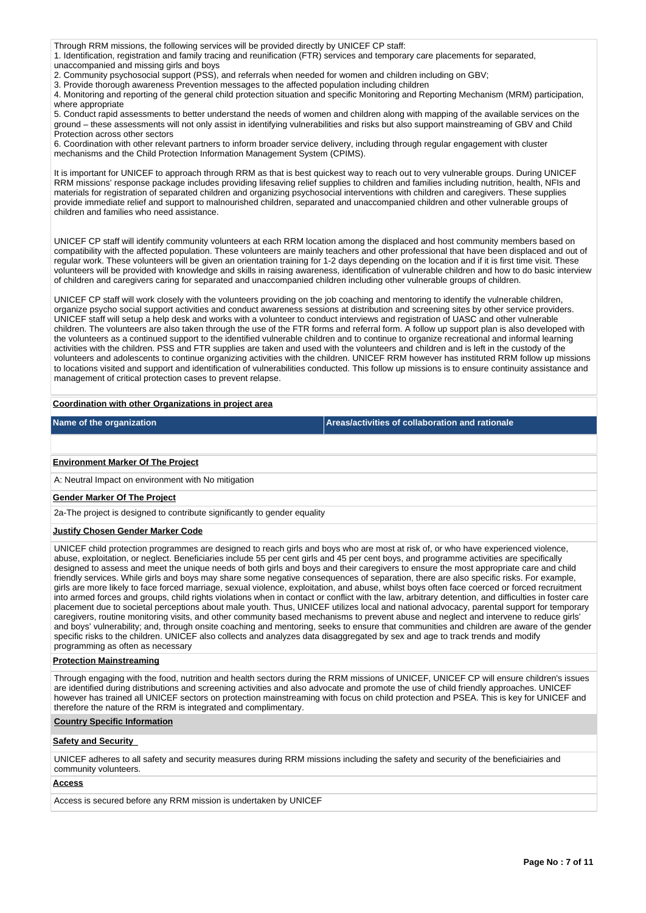Through RRM missions, the following services will be provided directly by UNICEF CP staff:

1. Identification, registration and family tracing and reunification (FTR) services and temporary care placements for separated, unaccompanied and missing girls and boys

2. Community psychosocial support (PSS), and referrals when needed for women and children including on GBV;

3. Provide thorough awareness Prevention messages to the affected population including children

4. Monitoring and reporting of the general child protection situation and specific Monitoring and Reporting Mechanism (MRM) participation, where appropriate

5. Conduct rapid assessments to better understand the needs of women and children along with mapping of the available services on the ground – these assessments will not only assist in identifying vulnerabilities and risks but also support mainstreaming of GBV and Child Protection across other sectors

6. Coordination with other relevant partners to inform broader service delivery, including through regular engagement with cluster mechanisms and the Child Protection Information Management System (CPIMS).

It is important for UNICEF to approach through RRM as that is best quickest way to reach out to very vulnerable groups. During UNICEF RRM missions' response package includes providing lifesaving relief supplies to children and families including nutrition, health, NFIs and materials for registration of separated children and organizing psychosocial interventions with children and caregivers. These supplies provide immediate relief and support to malnourished children, separated and unaccompanied children and other vulnerable groups of children and families who need assistance.

UNICEF CP staff will identify community volunteers at each RRM location among the displaced and host community members based on compatibility with the affected population. These volunteers are mainly teachers and other professional that have been displaced and out of regular work. These volunteers will be given an orientation training for 1-2 days depending on the location and if it is first time visit. These volunteers will be provided with knowledge and skills in raising awareness, identification of vulnerable children and how to do basic interview of children and caregivers caring for separated and unaccompanied children including other vulnerable groups of children.

UNICEF CP staff will work closely with the volunteers providing on the job coaching and mentoring to identify the vulnerable children, organize psycho social support activities and conduct awareness sessions at distribution and screening sites by other service providers. UNICEF staff will setup a help desk and works with a volunteer to conduct interviews and registration of UASC and other vulnerable children. The volunteers are also taken through the use of the FTR forms and referral form. A follow up support plan is also developed with the volunteers as a continued support to the identified vulnerable children and to continue to organize recreational and informal learning activities with the children. PSS and FTR supplies are taken and used with the volunteers and children and is left in the custody of the volunteers and adolescents to continue organizing activities with the children. UNICEF RRM however has instituted RRM follow up missions to locations visited and support and identification of vulnerabilities conducted. This follow up missions is to ensure continuity assistance and management of critical protection cases to prevent relapse.

### **Coordination with other Organizations in project area**

**Name of the organization Areas/activities of collaboration and rationale** 

### **Environment Marker Of The Project**

A: Neutral Impact on environment with No mitigation

#### **Gender Marker Of The Project**

2a-The project is designed to contribute significantly to gender equality

#### **Justify Chosen Gender Marker Code**

UNICEF child protection programmes are designed to reach girls and boys who are most at risk of, or who have experienced violence, abuse, exploitation, or neglect. Beneficiaries include 55 per cent girls and 45 per cent boys, and programme activities are specifically designed to assess and meet the unique needs of both girls and boys and their caregivers to ensure the most appropriate care and child friendly services. While girls and boys may share some negative consequences of separation, there are also specific risks. For example, girls are more likely to face forced marriage, sexual violence, exploitation, and abuse, whilst boys often face coerced or forced recruitment into armed forces and groups, child rights violations when in contact or conflict with the law, arbitrary detention, and difficulties in foster care placement due to societal perceptions about male youth. Thus, UNICEF utilizes local and national advocacy, parental support for temporary caregivers, routine monitoring visits, and other community based mechanisms to prevent abuse and neglect and intervene to reduce girls' and boys' vulnerability; and, through onsite coaching and mentoring, seeks to ensure that communities and children are aware of the gender specific risks to the children. UNICEF also collects and analyzes data disaggregated by sex and age to track trends and modify programming as often as necessary

#### **Protection Mainstreaming**

Through engaging with the food, nutrition and health sectors during the RRM missions of UNICEF, UNICEF CP will ensure children's issues are identified during distributions and screening activities and also advocate and promote the use of child friendly approaches. UNICEF however has trained all UNICEF sectors on protection mainstreaming with focus on child protection and PSEA. This is key for UNICEF and therefore the nature of the RRM is integrated and complimentary.

#### **Country Specific Information**

## **Safety and Security**

UNICEF adheres to all safety and security measures during RRM missions including the safety and security of the beneficiairies and community volunteers.

#### **Access**

Access is secured before any RRM mission is undertaken by UNICEF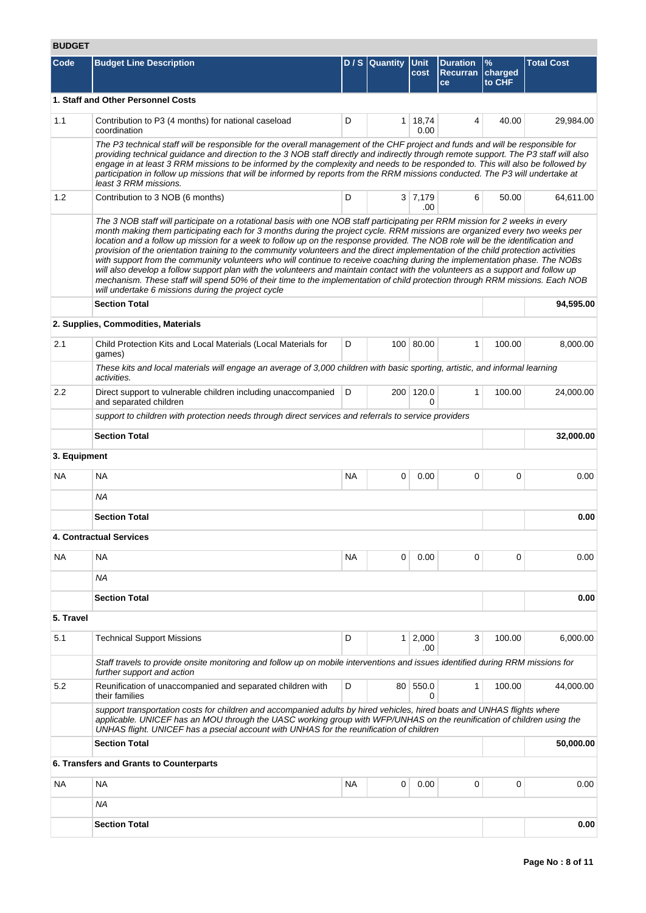# **BUDGET**

| Code         | <b>Budget Line Description</b>                                                                                                                                                                                                                                                                                                                                                                                                                                                                                                                                                                                                                                                                                                                                                                                                                                                                                                                                                            |           | D / S Quantity | <b>Unit</b><br>cost    | <b>Duration</b><br><b>Recurran</b><br>ce | $\%$<br>charged<br>to CHF | <b>Total Cost</b> |
|--------------|-------------------------------------------------------------------------------------------------------------------------------------------------------------------------------------------------------------------------------------------------------------------------------------------------------------------------------------------------------------------------------------------------------------------------------------------------------------------------------------------------------------------------------------------------------------------------------------------------------------------------------------------------------------------------------------------------------------------------------------------------------------------------------------------------------------------------------------------------------------------------------------------------------------------------------------------------------------------------------------------|-----------|----------------|------------------------|------------------------------------------|---------------------------|-------------------|
|              | 1. Staff and Other Personnel Costs                                                                                                                                                                                                                                                                                                                                                                                                                                                                                                                                                                                                                                                                                                                                                                                                                                                                                                                                                        |           |                |                        |                                          |                           |                   |
| 1.1          | Contribution to P3 (4 months) for national caseload<br>coordination                                                                                                                                                                                                                                                                                                                                                                                                                                                                                                                                                                                                                                                                                                                                                                                                                                                                                                                       | D         |                | $1 \mid 18,74$<br>0.00 | 4                                        | 40.00                     | 29,984.00         |
|              | The P3 technical staff will be responsible for the overall management of the CHF project and funds and will be responsible for<br>providing technical guidance and direction to the 3 NOB staff directly and indirectly through remote support. The P3 staff will also<br>engage in at least 3 RRM missions to be informed by the complexity and needs to be responded to. This will also be followed by<br>participation in follow up missions that will be informed by reports from the RRM missions conducted. The P3 will undertake at<br>least 3 RRM missions.                                                                                                                                                                                                                                                                                                                                                                                                                       |           |                |                        |                                          |                           |                   |
| 1.2          | Contribution to 3 NOB (6 months)                                                                                                                                                                                                                                                                                                                                                                                                                                                                                                                                                                                                                                                                                                                                                                                                                                                                                                                                                          | D         |                | 3 7,179<br>.00         | 6                                        | 50.00                     | 64,611.00         |
|              | The 3 NOB staff will participate on a rotational basis with one NOB staff participating per RRM mission for 2 weeks in every<br>month making them participating each for 3 months during the project cycle. RRM missions are organized every two weeks per<br>location and a follow up mission for a week to follow up on the response provided. The NOB role will be the identification and<br>provision of the orientation training to the community volunteers and the direct implementation of the child protection activities<br>with support from the community volunteers who will continue to receive coaching during the implementation phase. The NOBs<br>will also develop a follow support plan with the volunteers and maintain contact with the volunteers as a support and follow up<br>mechanism. These staff will spend 50% of their time to the implementation of child protection through RRM missions. Each NOB<br>will undertake 6 missions during the project cycle |           |                |                        |                                          |                           |                   |
|              | <b>Section Total</b>                                                                                                                                                                                                                                                                                                                                                                                                                                                                                                                                                                                                                                                                                                                                                                                                                                                                                                                                                                      |           |                |                        |                                          |                           | 94.595.00         |
|              | 2. Supplies, Commodities, Materials                                                                                                                                                                                                                                                                                                                                                                                                                                                                                                                                                                                                                                                                                                                                                                                                                                                                                                                                                       |           |                |                        |                                          |                           |                   |
| 2.1          | Child Protection Kits and Local Materials (Local Materials for<br>games)                                                                                                                                                                                                                                                                                                                                                                                                                                                                                                                                                                                                                                                                                                                                                                                                                                                                                                                  | D         |                | 100 80.00              | 1                                        | 100.00                    | 8,000.00          |
|              | These kits and local materials will engage an average of 3,000 children with basic sporting, artistic, and informal learning<br>activities.                                                                                                                                                                                                                                                                                                                                                                                                                                                                                                                                                                                                                                                                                                                                                                                                                                               |           |                |                        |                                          |                           |                   |
| 2.2          | Direct support to vulnerable children including unaccompanied<br>and separated children                                                                                                                                                                                                                                                                                                                                                                                                                                                                                                                                                                                                                                                                                                                                                                                                                                                                                                   | D         |                | 200 120.0<br>0         | 1                                        | 100.00                    | 24,000.00         |
|              | support to children with protection needs through direct services and referrals to service providers                                                                                                                                                                                                                                                                                                                                                                                                                                                                                                                                                                                                                                                                                                                                                                                                                                                                                      |           |                |                        |                                          |                           |                   |
|              | <b>Section Total</b>                                                                                                                                                                                                                                                                                                                                                                                                                                                                                                                                                                                                                                                                                                                                                                                                                                                                                                                                                                      |           |                |                        |                                          |                           | 32,000.00         |
| 3. Equipment |                                                                                                                                                                                                                                                                                                                                                                                                                                                                                                                                                                                                                                                                                                                                                                                                                                                                                                                                                                                           |           |                |                        |                                          |                           |                   |
| NA.          | NA                                                                                                                                                                                                                                                                                                                                                                                                                                                                                                                                                                                                                                                                                                                                                                                                                                                                                                                                                                                        | <b>NA</b> | 0              | 0.00                   | 0                                        | $\mathbf 0$               | 0.00              |
|              | <b>NA</b>                                                                                                                                                                                                                                                                                                                                                                                                                                                                                                                                                                                                                                                                                                                                                                                                                                                                                                                                                                                 |           |                |                        |                                          |                           |                   |
|              | <b>Section Total</b>                                                                                                                                                                                                                                                                                                                                                                                                                                                                                                                                                                                                                                                                                                                                                                                                                                                                                                                                                                      |           |                |                        |                                          |                           | 0.00              |
|              | 4. Contractual Services                                                                                                                                                                                                                                                                                                                                                                                                                                                                                                                                                                                                                                                                                                                                                                                                                                                                                                                                                                   |           |                |                        |                                          |                           |                   |
| <b>NA</b>    | <b>NA</b>                                                                                                                                                                                                                                                                                                                                                                                                                                                                                                                                                                                                                                                                                                                                                                                                                                                                                                                                                                                 | <b>NA</b> | 0              | 0.00                   | 0                                        | $\Omega$                  | 0.00              |
|              | ΝA                                                                                                                                                                                                                                                                                                                                                                                                                                                                                                                                                                                                                                                                                                                                                                                                                                                                                                                                                                                        |           |                |                        |                                          |                           |                   |
|              | <b>Section Total</b>                                                                                                                                                                                                                                                                                                                                                                                                                                                                                                                                                                                                                                                                                                                                                                                                                                                                                                                                                                      |           |                |                        |                                          |                           | 0.00              |
| 5. Travel    |                                                                                                                                                                                                                                                                                                                                                                                                                                                                                                                                                                                                                                                                                                                                                                                                                                                                                                                                                                                           |           |                |                        |                                          |                           |                   |
| 5.1          | <b>Technical Support Missions</b>                                                                                                                                                                                                                                                                                                                                                                                                                                                                                                                                                                                                                                                                                                                                                                                                                                                                                                                                                         | D         |                | $1 \mid 2,000$<br>.00  | 3                                        | 100.00                    | 6.000.00          |
|              | Staff travels to provide onsite monitoring and follow up on mobile interventions and issues identified during RRM missions for<br>further support and action                                                                                                                                                                                                                                                                                                                                                                                                                                                                                                                                                                                                                                                                                                                                                                                                                              |           |                |                        |                                          |                           |                   |
| 5.2          | Reunification of unaccompanied and separated children with<br>their families                                                                                                                                                                                                                                                                                                                                                                                                                                                                                                                                                                                                                                                                                                                                                                                                                                                                                                              | D         |                | 80 550.0<br>0          | 1                                        | 100.00                    | 44,000.00         |
|              | support transportation costs for children and accompanied adults by hired vehicles, hired boats and UNHAS flights where<br>applicable. UNICEF has an MOU through the UASC working group with WFP/UNHAS on the reunification of children using the<br>UNHAS flight. UNICEF has a psecial account with UNHAS for the reunification of children                                                                                                                                                                                                                                                                                                                                                                                                                                                                                                                                                                                                                                              |           |                |                        |                                          |                           |                   |
|              | <b>Section Total</b>                                                                                                                                                                                                                                                                                                                                                                                                                                                                                                                                                                                                                                                                                                                                                                                                                                                                                                                                                                      |           |                |                        |                                          |                           | 50,000.00         |
|              | 6. Transfers and Grants to Counterparts                                                                                                                                                                                                                                                                                                                                                                                                                                                                                                                                                                                                                                                                                                                                                                                                                                                                                                                                                   |           |                |                        |                                          |                           |                   |
| NA.          | NA                                                                                                                                                                                                                                                                                                                                                                                                                                                                                                                                                                                                                                                                                                                                                                                                                                                                                                                                                                                        | NА        | 0              | 0.00                   | 0                                        | 0                         | 0.00              |
|              | <b>NA</b>                                                                                                                                                                                                                                                                                                                                                                                                                                                                                                                                                                                                                                                                                                                                                                                                                                                                                                                                                                                 |           |                |                        |                                          |                           |                   |
|              | <b>Section Total</b>                                                                                                                                                                                                                                                                                                                                                                                                                                                                                                                                                                                                                                                                                                                                                                                                                                                                                                                                                                      |           |                |                        |                                          |                           | 0.00              |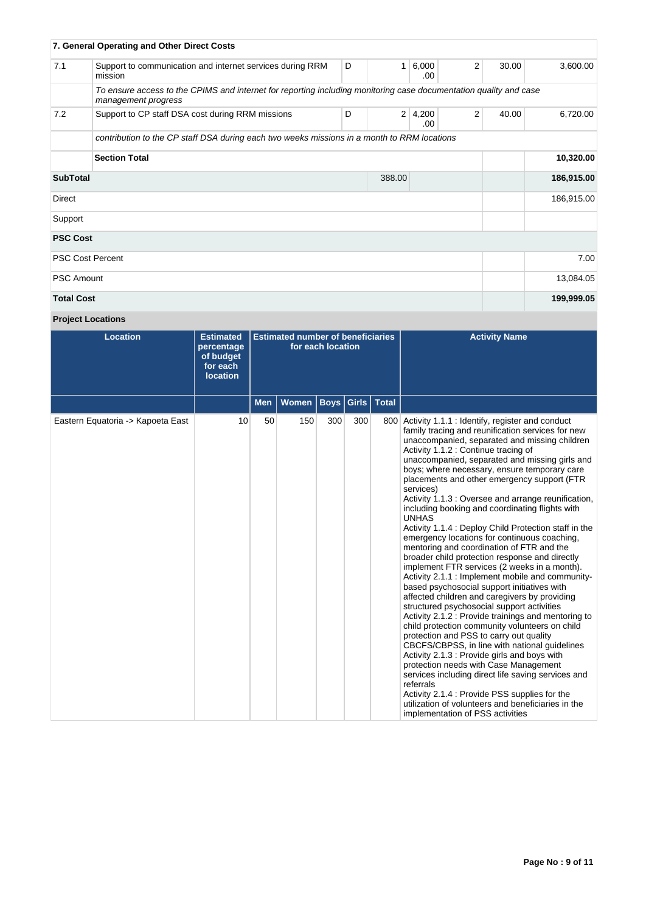|                   | 7. General Operating and Other Direct Costs                                                                                              |   |                |              |   |       |            |
|-------------------|------------------------------------------------------------------------------------------------------------------------------------------|---|----------------|--------------|---|-------|------------|
| 7.1               | Support to communication and internet services during RRM<br>mission                                                                     | D | 1              | 6,000<br>.00 | 2 | 30.00 | 3,600.00   |
|                   | To ensure access to the CPIMS and internet for reporting including monitoring case documentation quality and case<br>management progress |   |                |              |   |       |            |
| 7.2               | Support to CP staff DSA cost during RRM missions                                                                                         | D | $\overline{2}$ | 4,200<br>.00 | 2 | 40.00 | 6,720.00   |
|                   | contribution to the CP staff DSA during each two weeks missions in a month to RRM locations                                              |   |                |              |   |       |            |
|                   | <b>Section Total</b>                                                                                                                     |   |                |              |   |       | 10,320.00  |
| <b>SubTotal</b>   |                                                                                                                                          |   | 388.00         |              |   |       | 186,915.00 |
| Direct            |                                                                                                                                          |   |                |              |   |       | 186,915.00 |
| Support           |                                                                                                                                          |   |                |              |   |       |            |
| <b>PSC Cost</b>   |                                                                                                                                          |   |                |              |   |       |            |
|                   | <b>PSC Cost Percent</b>                                                                                                                  |   |                |              |   |       | 7.00       |
| <b>PSC Amount</b> |                                                                                                                                          |   |                |              |   |       | 13,084.05  |
| <b>Total Cost</b> |                                                                                                                                          |   |                |              |   |       | 199,999.05 |

# **Project Locations**

| <b>Location</b>                   | <b>Estimated</b><br>percentage<br>of budget<br>for each<br><b>location</b> | <b>Estimated number of beneficiaries</b><br>for each location |              |             |               |              | <b>Activity Name</b>                                                                                                                                                                                                                                                                                                                                                                                                                                                                                                                                                                                                                                                                                                                                                                                                                                                                                                                                                                                                                                                                                                                                                                                                                                                                                                                                                                                                                                             |
|-----------------------------------|----------------------------------------------------------------------------|---------------------------------------------------------------|--------------|-------------|---------------|--------------|------------------------------------------------------------------------------------------------------------------------------------------------------------------------------------------------------------------------------------------------------------------------------------------------------------------------------------------------------------------------------------------------------------------------------------------------------------------------------------------------------------------------------------------------------------------------------------------------------------------------------------------------------------------------------------------------------------------------------------------------------------------------------------------------------------------------------------------------------------------------------------------------------------------------------------------------------------------------------------------------------------------------------------------------------------------------------------------------------------------------------------------------------------------------------------------------------------------------------------------------------------------------------------------------------------------------------------------------------------------------------------------------------------------------------------------------------------------|
|                                   |                                                                            | <b>Men</b>                                                    | <b>Women</b> | <b>Boys</b> | Girls $\vert$ | <b>Total</b> |                                                                                                                                                                                                                                                                                                                                                                                                                                                                                                                                                                                                                                                                                                                                                                                                                                                                                                                                                                                                                                                                                                                                                                                                                                                                                                                                                                                                                                                                  |
| Eastern Equatoria -> Kapoeta East | 10                                                                         | 50                                                            | 150          | 300         | 300           |              | 800 Activity 1.1.1 : Identify, register and conduct<br>family tracing and reunification services for new<br>unaccompanied, separated and missing children<br>Activity 1.1.2 : Continue tracing of<br>unaccompanied, separated and missing girls and<br>boys; where necessary, ensure temporary care<br>placements and other emergency support (FTR)<br>services)<br>Activity 1.1.3 : Oversee and arrange reunification,<br>including booking and coordinating flights with<br><b>UNHAS</b><br>Activity 1.1.4 : Deploy Child Protection staff in the<br>emergency locations for continuous coaching,<br>mentoring and coordination of FTR and the<br>broader child protection response and directly<br>implement FTR services (2 weeks in a month).<br>Activity 2.1.1 : Implement mobile and community-<br>based psychosocial support initiatives with<br>affected children and caregivers by providing<br>structured psychosocial support activities<br>Activity 2.1.2 : Provide trainings and mentoring to<br>child protection community volunteers on child<br>protection and PSS to carry out quality<br>CBCFS/CBPSS, in line with national guidelines<br>Activity 2.1.3 : Provide girls and boys with<br>protection needs with Case Management<br>services including direct life saving services and<br>referrals<br>Activity 2.1.4 : Provide PSS supplies for the<br>utilization of volunteers and beneficiaries in the<br>implementation of PSS activities |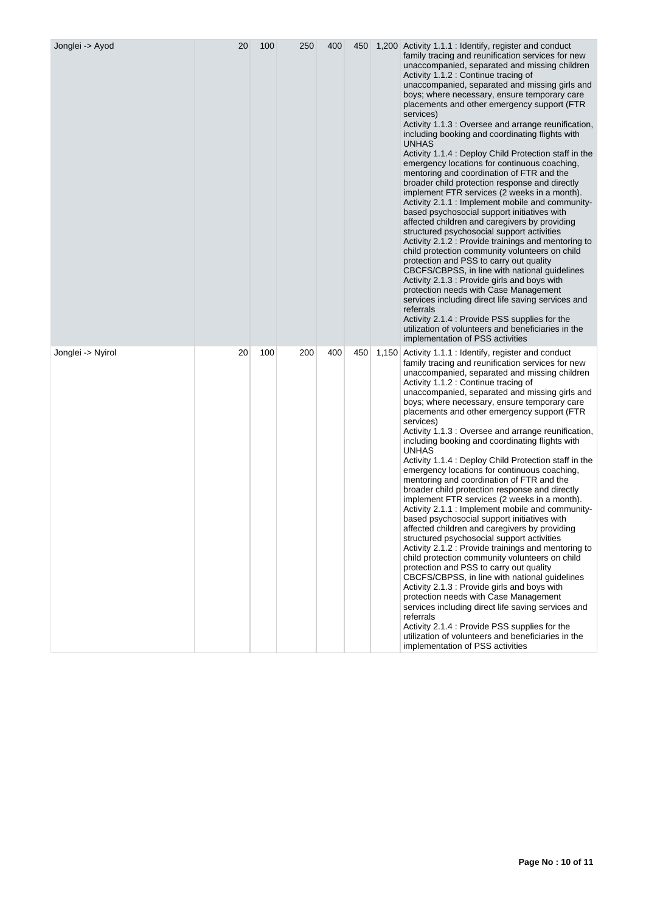| Jonglei -> Ayod   | 20 | 100 | 250 | 400 | 450 | 1,200 Activity 1.1.1 : Identify, register and conduct<br>family tracing and reunification services for new<br>unaccompanied, separated and missing children<br>Activity 1.1.2 : Continue tracing of<br>unaccompanied, separated and missing girls and<br>boys; where necessary, ensure temporary care<br>placements and other emergency support (FTR<br>services)<br>Activity 1.1.3 : Oversee and arrange reunification,<br>including booking and coordinating flights with<br><b>UNHAS</b><br>Activity 1.1.4 : Deploy Child Protection staff in the<br>emergency locations for continuous coaching,<br>mentoring and coordination of FTR and the<br>broader child protection response and directly<br>implement FTR services (2 weeks in a month).<br>Activity 2.1.1 : Implement mobile and community-<br>based psychosocial support initiatives with<br>affected children and caregivers by providing<br>structured psychosocial support activities<br>Activity 2.1.2 : Provide trainings and mentoring to<br>child protection community volunteers on child<br>protection and PSS to carry out quality<br>CBCFS/CBPSS, in line with national guidelines<br>Activity 2.1.3 : Provide girls and boys with<br>protection needs with Case Management<br>services including direct life saving services and<br>referrals<br>Activity 2.1.4 : Provide PSS supplies for the<br>utilization of volunteers and beneficiaries in the<br>implementation of PSS activities |
|-------------------|----|-----|-----|-----|-----|-------------------------------------------------------------------------------------------------------------------------------------------------------------------------------------------------------------------------------------------------------------------------------------------------------------------------------------------------------------------------------------------------------------------------------------------------------------------------------------------------------------------------------------------------------------------------------------------------------------------------------------------------------------------------------------------------------------------------------------------------------------------------------------------------------------------------------------------------------------------------------------------------------------------------------------------------------------------------------------------------------------------------------------------------------------------------------------------------------------------------------------------------------------------------------------------------------------------------------------------------------------------------------------------------------------------------------------------------------------------------------------------------------------------------------------------------------------------|
| Jonglei -> Nyirol | 20 | 100 | 200 | 400 | 450 | 1,150 Activity 1.1.1 : Identify, register and conduct<br>family tracing and reunification services for new<br>unaccompanied, separated and missing children<br>Activity 1.1.2 : Continue tracing of<br>unaccompanied, separated and missing girls and<br>boys; where necessary, ensure temporary care<br>placements and other emergency support (FTR<br>services)<br>Activity 1.1.3 : Oversee and arrange reunification,<br>including booking and coordinating flights with<br>UNHAS<br>Activity 1.1.4 : Deploy Child Protection staff in the<br>emergency locations for continuous coaching,<br>mentoring and coordination of FTR and the<br>broader child protection response and directly<br>implement FTR services (2 weeks in a month).<br>Activity 2.1.1 : Implement mobile and community-<br>based psychosocial support initiatives with<br>affected children and caregivers by providing<br>structured psychosocial support activities<br>Activity 2.1.2 : Provide trainings and mentoring to<br>child protection community volunteers on child<br>protection and PSS to carry out quality<br>CBCFS/CBPSS, in line with national guidelines<br>Activity 2.1.3 : Provide girls and boys with<br>protection needs with Case Management<br>services including direct life saving services and<br>referrals<br>Activity 2.1.4 : Provide PSS supplies for the<br>utilization of volunteers and beneficiaries in the<br>implementation of PSS activities        |